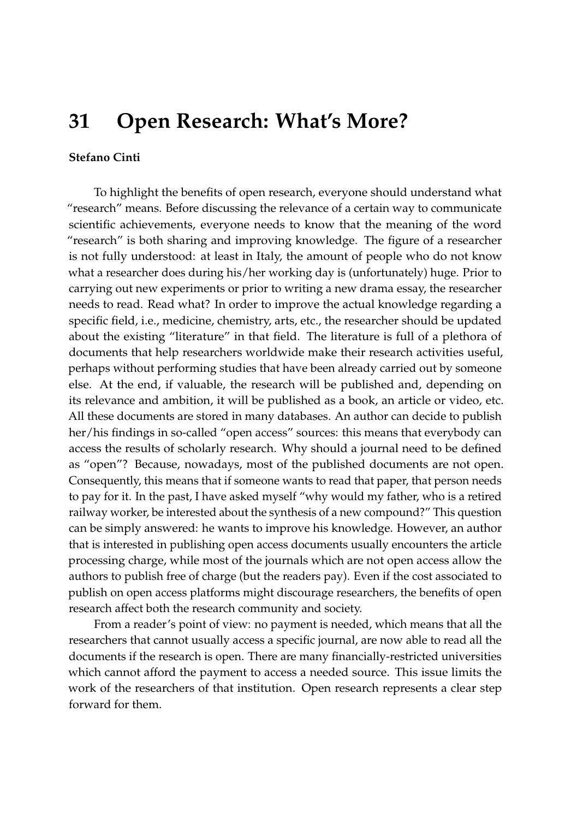## **31 Open Research: What's More?**

## **Stefano Cinti**

To highlight the benefits of open research, everyone should understand what "research" means. Before discussing the relevance of a certain way to communicate scientific achievements, everyone needs to know that the meaning of the word "research" is both sharing and improving knowledge. The figure of a researcher is not fully understood: at least in Italy, the amount of people who do not know what a researcher does during his/her working day is (unfortunately) huge. Prior to carrying out new experiments or prior to writing a new drama essay, the researcher needs to read. Read what? In order to improve the actual knowledge regarding a specific field, i.e., medicine, chemistry, arts, etc., the researcher should be updated about the existing "literature" in that field. The literature is full of a plethora of documents that help researchers worldwide make their research activities useful, perhaps without performing studies that have been already carried out by someone else. At the end, if valuable, the research will be published and, depending on its relevance and ambition, it will be published as a book, an article or video, etc. All these documents are stored in many databases. An author can decide to publish her/his findings in so-called "open access" sources: this means that everybody can access the results of scholarly research. Why should a journal need to be defined as "open"? Because, nowadays, most of the published documents are not open. Consequently, this means that if someone wants to read that paper, that person needs to pay for it. In the past, I have asked myself "why would my father, who is a retired railway worker, be interested about the synthesis of a new compound?" This question can be simply answered: he wants to improve his knowledge. However, an author that is interested in publishing open access documents usually encounters the article processing charge, while most of the journals which are not open access allow the authors to publish free of charge (but the readers pay). Even if the cost associated to publish on open access platforms might discourage researchers, the benefits of open research affect both the research community and society.

From a reader's point of view: no payment is needed, which means that all the researchers that cannot usually access a specific journal, are now able to read all the documents if the research is open. There are many financially-restricted universities which cannot afford the payment to access a needed source. This issue limits the work of the researchers of that institution. Open research represents a clear step forward for them.